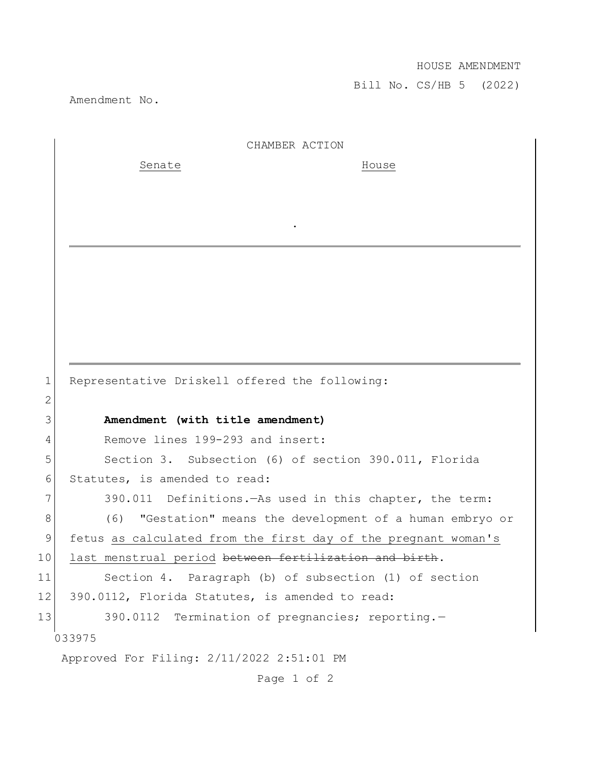## HOUSE AMENDMENT

Bill No. CS/HB 5 (2022)

Amendment No.

|    | CHAMBER ACTION                                                     |
|----|--------------------------------------------------------------------|
|    | Senate<br>House                                                    |
|    |                                                                    |
|    |                                                                    |
|    |                                                                    |
|    |                                                                    |
|    |                                                                    |
|    |                                                                    |
|    |                                                                    |
|    |                                                                    |
|    |                                                                    |
|    |                                                                    |
| 1  | Representative Driskell offered the following:                     |
| 2  |                                                                    |
| 3  | Amendment (with title amendment)                                   |
| 4  | Remove lines 199-293 and insert:                                   |
| 5  | Section 3. Subsection (6) of section 390.011, Florida              |
| 6  | Statutes, is amended to read:                                      |
| 7  | 390.011 Definitions. - As used in this chapter, the term:          |
| 8  | (6)<br>"Gestation" means the development of a human embryo or      |
| 9  | fetus as calculated from the first day of the pregnant woman's     |
| 10 | last menstrual period <del>between fertilization and birth</del> . |
| 11 | Section 4. Paragraph (b) of subsection (1) of section              |
| 12 | 390.0112, Florida Statutes, is amended to read:                    |
| 13 | 390.0112 Termination of pregnancies; reporting.-                   |
|    | 033975                                                             |
|    | Approved For Filing: 2/11/2022 2:51:01 PM                          |
|    |                                                                    |

Page 1 of 2